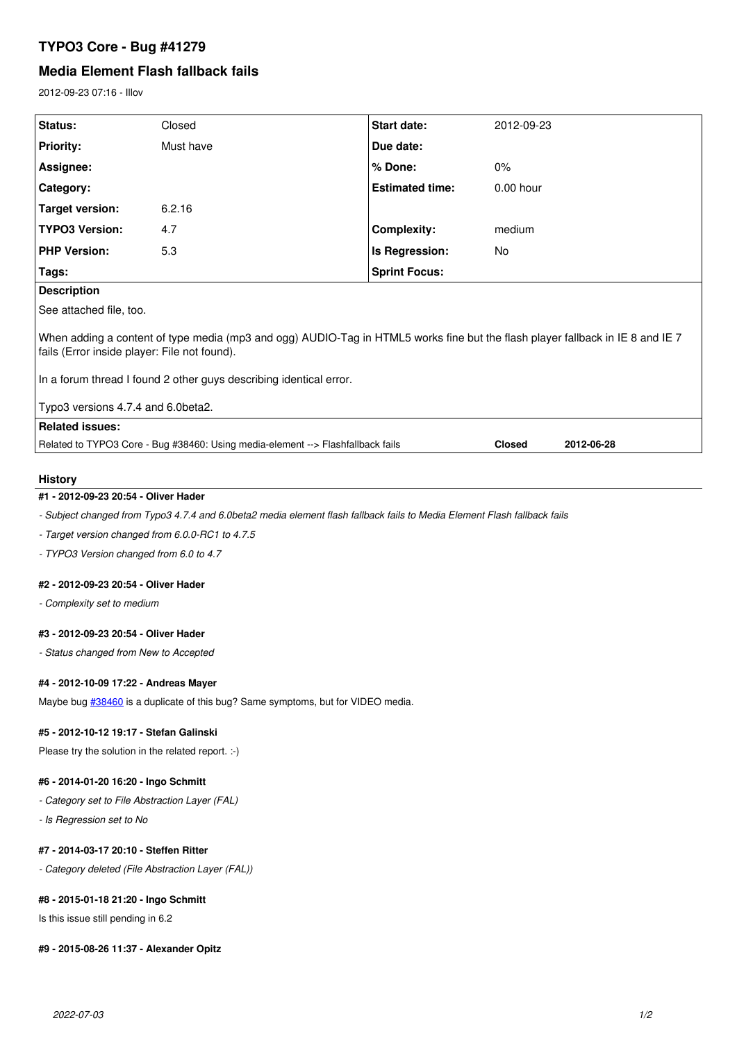# **TYPO3 Core - Bug #41279**

## **Media Element Flash fallback fails**

2012-09-23 07:16 - Illov

| Status:                                                                                                                                                                                                                                              | Closed    | Start date:            | 2012-09-23    |            |
|------------------------------------------------------------------------------------------------------------------------------------------------------------------------------------------------------------------------------------------------------|-----------|------------------------|---------------|------------|
| <b>Priority:</b>                                                                                                                                                                                                                                     | Must have | Due date:              |               |            |
| Assignee:                                                                                                                                                                                                                                            |           | % Done:                | 0%            |            |
| <b>Category:</b>                                                                                                                                                                                                                                     |           | <b>Estimated time:</b> | $0.00$ hour   |            |
| Target version:                                                                                                                                                                                                                                      | 6.2.16    |                        |               |            |
| <b>TYPO3 Version:</b>                                                                                                                                                                                                                                | 4.7       | <b>Complexity:</b>     | medium        |            |
| <b>PHP Version:</b>                                                                                                                                                                                                                                  | 5.3       | Is Regression:         | No            |            |
| Tags:                                                                                                                                                                                                                                                |           | <b>Sprint Focus:</b>   |               |            |
| <b>Description</b>                                                                                                                                                                                                                                   |           |                        |               |            |
| See attached file, too.                                                                                                                                                                                                                              |           |                        |               |            |
| When adding a content of type media (mp3 and ogg) AUDIO-Tag in HTML5 works fine but the flash player fallback in IE 8 and IE 7<br>fails (Error inside player: File not found).<br>In a forum thread I found 2 other guys describing identical error. |           |                        |               |            |
| Typo3 versions 4.7.4 and 6.0beta2.                                                                                                                                                                                                                   |           |                        |               |            |
| <b>Related issues:</b>                                                                                                                                                                                                                               |           |                        |               |            |
| Related to TYPO3 Core - Bug #38460: Using media-element --> Flashfallback fails                                                                                                                                                                      |           |                        | <b>Closed</b> | 2012-06-28 |
|                                                                                                                                                                                                                                                      |           |                        |               |            |

## **History**

# **#1 - 2012-09-23 20:54 - Oliver Hader**

*- Subject changed from Typo3 4.7.4 and 6.0beta2 media element flash fallback fails to Media Element Flash fallback fails*

*- Target version changed from 6.0.0-RC1 to 4.7.5*

*- TYPO3 Version changed from 6.0 to 4.7*

### **#2 - 2012-09-23 20:54 - Oliver Hader**

*- Complexity set to medium*

#### **#3 - 2012-09-23 20:54 - Oliver Hader**

*- Status changed from New to Accepted*

#### **#4 - 2012-10-09 17:22 - Andreas Mayer**

Maybe bug  $\frac{\#38460}{\#38460}$  is a duplicate of this bug? Same symptoms, but for VIDEO media.

#### **#5 - 2012-10-12 19:17 - Stefan Galinski**

Please try the solution in the related report. :-)

## **#6 - 2014-01-20 16:20 - Ingo Schmitt**

- *Category set to File Abstraction Layer (FAL)*
- *Is Regression set to No*

### **#7 - 2014-03-17 20:10 - Steffen Ritter**

*- Category deleted (File Abstraction Layer (FAL))*

## **#8 - 2015-01-18 21:20 - Ingo Schmitt**

Is this issue still pending in 6.2

#### **#9 - 2015-08-26 11:37 - Alexander Opitz**